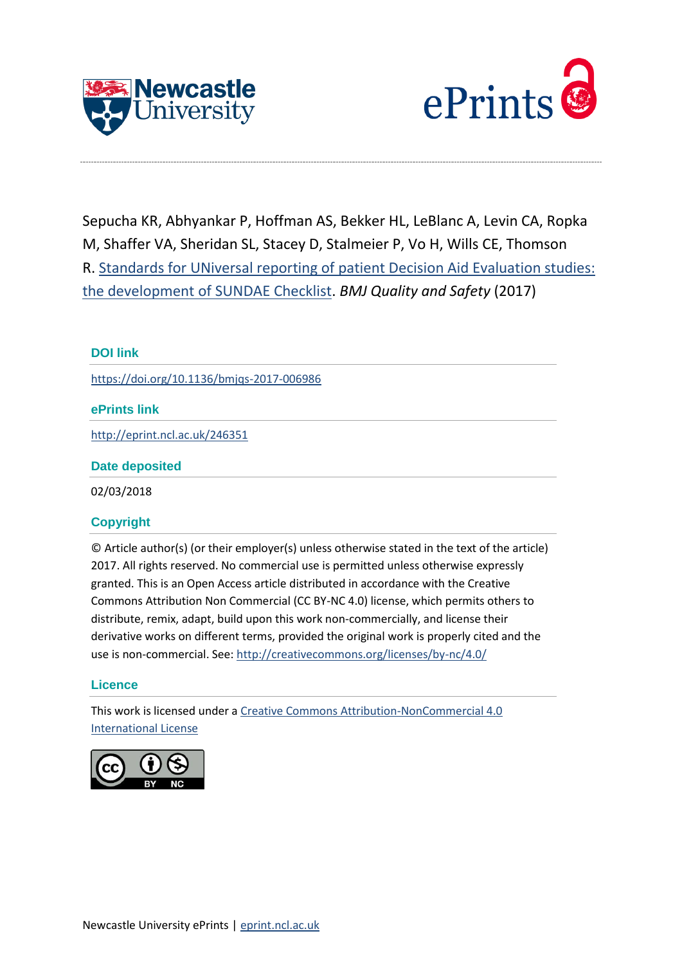



Sepucha KR, Abhyankar P, Hoffman AS, Bekker HL, LeBlanc A, Levin CA, Ropka M, Shaffer VA, Sheridan SL, Stacey D, Stalmeier P, Vo H, Wills CE, Thomson R. [Standards for UNiversal reporting of patient Decision Aid Evaluation studies:](http://eprint.ncl.ac.uk/246351)  [the development of](http://eprint.ncl.ac.uk/246351) SUNDAE Checklist. *BMJ Quality and Safety* (2017)

# **DOI link**

<https://doi.org/10.1136/bmjqs-2017-006986>

# **ePrints link**

<http://eprint.ncl.ac.uk/246351>

## **Date deposited**

02/03/2018

# **Copyright**

© Article author(s) (or their employer(s) unless otherwise stated in the text of the article) 2017. All rights reserved. No commercial use is permitted unless otherwise expressly granted. This is an Open Access article distributed in accordance with the Creative Commons Attribution Non Commercial (CC BY-NC 4.0) license, which permits others to distribute, remix, adapt, build upon this work non-commercially, and license their derivative works on different terms, provided the original work is properly cited and the use is non-commercial. See: <http://creativecommons.org/licenses/by-nc/4.0/>

# **Licence**

This work is licensed under a [Creative Commons Attribution-NonCommercial 4.0](http://creativecommons.org/licenses/by-nc/4.0/)  [International](http://creativecommons.org/licenses/by-nc/4.0/) License

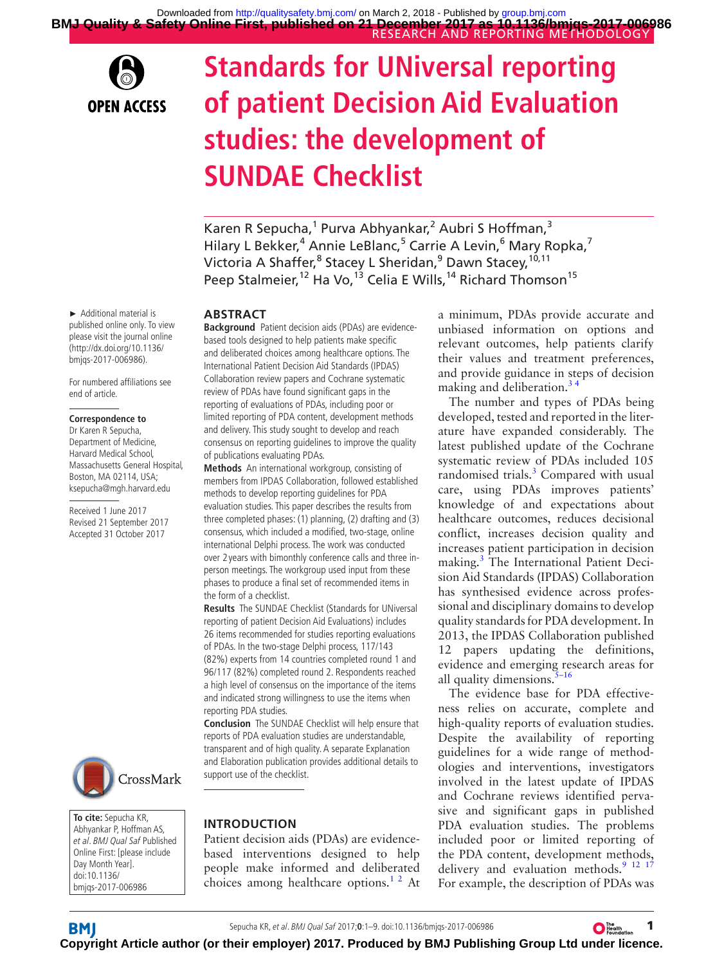BM<del>J Quality & Safety Online First, published on 21 December 2017 as 10.1136/bmjqs-2017-006986</del><br>RESEARCH AND REPORTING METHODOLOGY Downloaded from<http://qualitysafety.bmj.com/>on March 2, 2018 - Published by [group.bmj.com](http://group.bmj.com)



# **Standards for UNiversal reporting of patient Decision Aid Evaluation studies: the development of SUNDAE Checklist**

Karen R Sepucha,<sup>1</sup> Purva Abhyankar,<sup>2</sup> Aubri S Hoffman,<sup>3</sup> Hilary L Bekker,<sup>4</sup> Annie LeBlanc,<sup>5</sup> Carrie A Levin,<sup>6</sup> Mary Ropka,<sup>7</sup> Victoria A Shaffer,<sup>8</sup> Stacey L Sheridan,<sup>9</sup> Dawn Stacey,<sup>10,11</sup> Peep Stalmeier,<sup>12</sup> Ha Vo,<sup>13</sup> Celia E Wills,<sup>14</sup> Richard Thomson<sup>15</sup>

#### **Abstract**

**Background** Patient decision aids (PDAs) are evidencebased tools designed to help patients make specific and deliberated choices among healthcare options. The International Patient Decision Aid Standards (IPDAS) Collaboration review papers and Cochrane systematic review of PDAs have found significant gaps in the reporting of evaluations of PDAs, including poor or limited reporting of PDA content, development methods and delivery. This study sought to develop and reach consensus on reporting guidelines to improve the quality of publications evaluating PDAs.

**Methods** An international workgroup, consisting of members from IPDAS Collaboration, followed established methods to develop reporting guidelines for PDA evaluation studies. This paper describes the results from three completed phases: (1) planning, (2) drafting and (3) consensus, which included a modified, two-stage, online international Delphi process. The work was conducted over 2 years with bimonthly conference calls and three inperson meetings. The workgroup used input from these phases to produce a final set of recommended items in the form of a checklist.

**Results** The SUNDAE Checklist (Standards for UNiversal reporting of patient Decision Aid Evaluations) includes 26 items recommended for studies reporting evaluations of PDAs. In the two-stage Delphi process, 117/143 (82%) experts from 14 countries completed round 1 and 96/117 (82%) completed round 2. Respondents reached a high level of consensus on the importance of the items and indicated strong willingness to use the items when reporting PDA studies.

**Conclusion** The SUNDAE Checklist will help ensure that reports of PDA evaluation studies are understandable, transparent and of high quality. A separate Explanation and Elaboration publication provides additional details to support use of the checklist.

#### **Introduction**

Patient decision aids (PDAs) are evidencebased interventions designed to help people make informed and deliberated choices among healthcare options.[1 2](#page-8-0) At a minimum, PDAs provide accurate and unbiased information on options and relevant outcomes, help patients clarify their values and treatment preferences, and provide guidance in steps of decision making and deliberation.<sup>34</sup>

The number and types of PDAs being developed, tested and reported in the literature have expanded considerably. The latest published update of the Cochrane systematic review of PDAs included 105 randomised trials.<sup>[3](#page-8-1)</sup> Compared with usual care, using PDAs improves patients' knowledge of and expectations about healthcare outcomes, reduces decisional conflict, increases decision quality and increases patient participation in decision making.<sup>[3](#page-8-1)</sup> The International Patient Decision Aid Standards (IPDAS) Collaboration has synthesised evidence across professional and disciplinary domains to develop quality standards for PDA development. In 2013, the IPDAS Collaboration published 12 papers updating the definitions, evidence and emerging research areas for all quality dimensions. $5-16$ 

The evidence base for PDA effectiveness relies on accurate, complete and high-quality reports of evaluation studies. Despite the availability of reporting guidelines for a wide range of methodologies and interventions, investigators involved in the latest update of IPDAS and Cochrane reviews identified pervasive and significant gaps in published PDA evaluation studies. The problems included poor or limited reporting of the PDA content, development methods, delivery and evaluation methods.<sup>9</sup> <sup>12</sup> <sup>17</sup> For example, the description of PDAs was

► Additional material is published online only. To view please visit the journal online (http://dx.doi.org/10.1136/ bmjqs-2017-006986).

For numbered affiliations see end of article.

#### **Correspondence to**

Dr Karen R Sepucha, Department of Medicine, Harvard Medical School, Massachusetts General Hospital, Boston, MA 02114, USA; ksepucha@mgh.harvard.edu

Received 1 June 2017 Revised 21 September 2017 Accepted 31 October 2017



**To cite:** Sepucha KR, Abhyankar P, Hoffman AS, et al. BMJ Qual Saf Published Online First: [please include Day Month Year]. doi:10.1136/ bmjqs-2017-006986

BMJ

**[Copyri](http://qualitysafety.bmj.com/)ght Article author (or their employer) 2017. Produced by BMJ Publishing Group Ltd under licence.**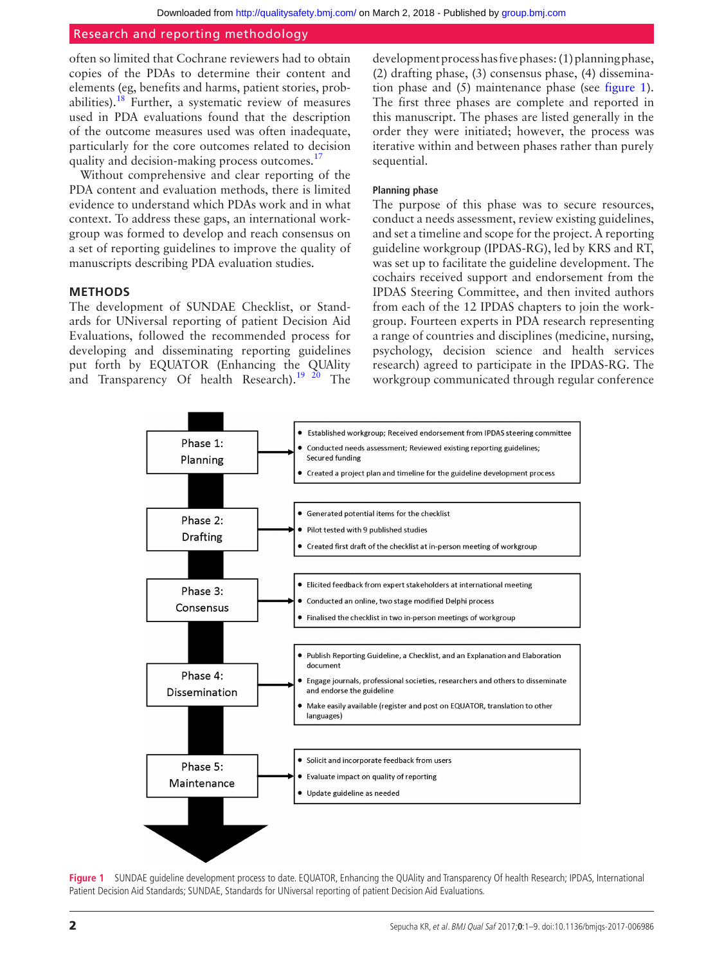often so limited that Cochrane reviewers had to obtain copies of the PDAs to determine their content and elements (eg, benefits and harms, patient stories, probabilities).[18](#page-9-0) Further, a systematic review of measures used in PDA evaluations found that the description of the outcome measures used was often inadequate, particularly for the core outcomes related to decision quality and decision-making process outcomes.<sup>17</sup>

Without comprehensive and clear reporting of the PDA content and evaluation methods, there is limited evidence to understand which PDAs work and in what context. To address these gaps, an international workgroup was formed to develop and reach consensus on a set of reporting guidelines to improve the quality of manuscripts describing PDA evaluation studies.

#### **Methods**

The development of SUNDAE Checklist, or Standards for UNiversal reporting of patient Decision Aid Evaluations, followed the recommended process for developing and disseminating reporting guidelines put forth by EQUATOR (Enhancing the QUAlity and Transparency Of health Research).<sup>19</sup> <sup>20</sup> The

development process has five phases: (1) planning phase, (2) drafting phase, (3) consensus phase, (4) dissemination phase and (5) maintenance phase (see [figure](#page-2-0) 1). The first three phases are complete and reported in this manuscript. The phases are listed generally in the order they were initiated; however, the process was iterative within and between phases rather than purely sequential.

#### **Planning phase**

The purpose of this phase was to secure resources, conduct a needs assessment, review existing guidelines, and set a timeline and scope for the project. A reporting guideline workgroup (IPDAS-RG), led by KRS and RT, was set up to facilitate the guideline development. The cochairs received support and endorsement from the IPDAS Steering Committee, and then invited authors from each of the 12 IPDAS chapters to join the workgroup. Fourteen experts in PDA research representing a range of countries and disciplines (medicine, nursing, psychology, decision science and health services research) agreed to participate in the IPDAS-RG. The workgroup communicated through regular conference



<span id="page-2-0"></span>Figure 1 SUNDAE quideline development process to date. EQUATOR, Enhancing the QUAlity and Transparency Of health Research; IPDAS, International Patient Decision Aid Standards; SUNDAE, Standards for UNiversal reporting of patient Decision Aid Evaluations.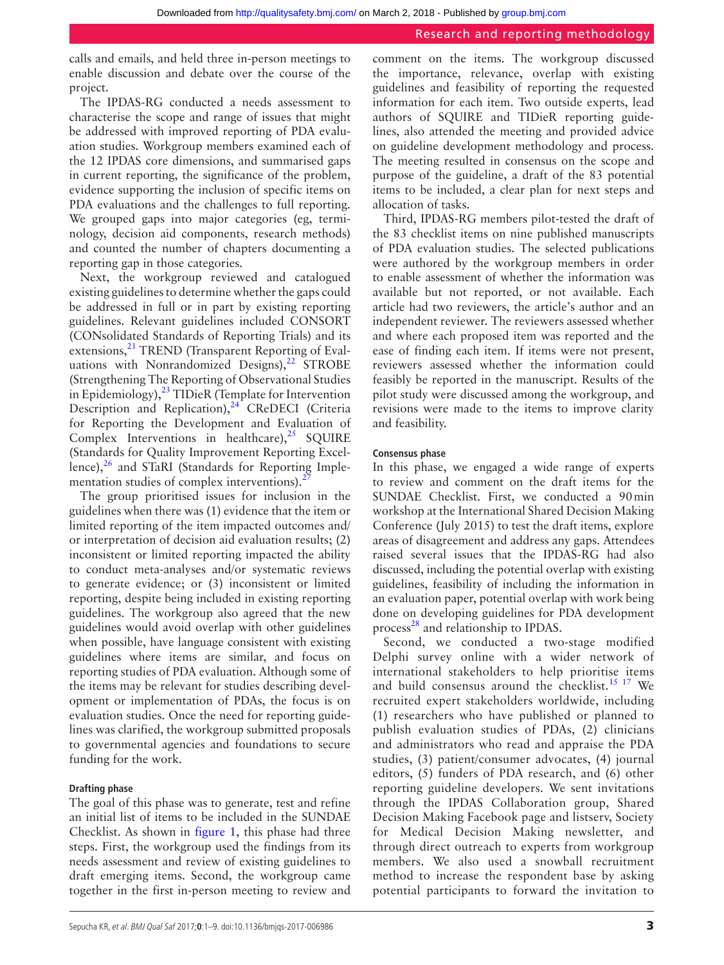calls and emails, and held three in-person meetings to enable discussion and debate over the course of the project.

The IPDAS-RG conducted a needs assessment to characterise the scope and range of issues that might be addressed with improved reporting of PDA evaluation studies. Workgroup members examined each of the 12 IPDAS core dimensions, and summarised gaps in current reporting, the significance of the problem, evidence supporting the inclusion of specific items on PDA evaluations and the challenges to full reporting. We grouped gaps into major categories (eg, terminology, decision aid components, research methods) and counted the number of chapters documenting a reporting gap in those categories.

Next, the workgroup reviewed and catalogued existing guidelines to determine whether the gaps could be addressed in full or in part by existing reporting guidelines. Relevant guidelines included CONSORT (CONsolidated Standards of Reporting Trials) and its extensions,<sup>[21](#page-9-3)</sup> TREND (Transparent Reporting of Eval-uations with Nonrandomized Designs),<sup>[22](#page-9-4)</sup> STROBE (Strengthening The Reporting of Observational Studies in Epidemiology), $^{23}$  $^{23}$  $^{23}$  TIDieR (Template for Intervention Description and Replication),<sup>[24](#page-9-6)</sup> CReDECI (Criteria for Reporting the Development and Evaluation of Complex Interventions in healthcare), $^{25}$  SQUIRE (Standards for Quality Improvement Reporting Excellence), $^{26}$  and STaRI (Standards for Reporting Implementation studies of complex interventions). $\hat{f}$ 

The group prioritised issues for inclusion in the guidelines when there was (1) evidence that the item or limited reporting of the item impacted outcomes and/ or interpretation of decision aid evaluation results; (2) inconsistent or limited reporting impacted the ability to conduct meta-analyses and/or systematic reviews to generate evidence; or (3) inconsistent or limited reporting, despite being included in existing reporting guidelines. The workgroup also agreed that the new guidelines would avoid overlap with other guidelines when possible, have language consistent with existing guidelines where items are similar, and focus on reporting studies of PDA evaluation. Although some of the items may be relevant for studies describing development or implementation of PDAs, the focus is on evaluation studies. Once the need for reporting guidelines was clarified, the workgroup submitted proposals to governmental agencies and foundations to secure funding for the work.

#### **Drafting phase**

The goal of this phase was to generate, test and refine an initial list of items to be included in the SUNDAE Checklist. As shown in [figure](#page-2-0) 1, this phase had three steps. First, the workgroup used the findings from its needs assessment and review of existing guidelines to draft emerging items. Second, the workgroup came together in the first in-person meeting to review and

comment on the items. The workgroup discussed the importance, relevance, overlap with existing guidelines and feasibility of reporting the requested information for each item. Two outside experts, lead authors of SQUIRE and TIDieR reporting guidelines, also attended the meeting and provided advice on guideline development methodology and process. The meeting resulted in consensus on the scope and purpose of the guideline, a draft of the 83 potential items to be included, a clear plan for next steps and allocation of tasks.

Third, IPDAS-RG members pilot-tested the draft of the 83 checklist items on nine published manuscripts of PDA evaluation studies. The selected publications were authored by the workgroup members in order to enable assessment of whether the information was available but not reported, or not available. Each article had two reviewers, the article's author and an independent reviewer. The reviewers assessed whether and where each proposed item was reported and the ease of finding each item. If items were not present, reviewers assessed whether the information could feasibly be reported in the manuscript. Results of the pilot study were discussed among the workgroup, and revisions were made to the items to improve clarity and feasibility.

#### **Consensus phase**

In this phase, we engaged a wide range of experts to review and comment on the draft items for the SUNDAE Checklist. First, we conducted a 90min workshop at the International Shared Decision Making Conference (July 2015) to test the draft items, explore areas of disagreement and address any gaps. Attendees raised several issues that the IPDAS-RG had also discussed, including the potential overlap with existing guidelines, feasibility of including the information in an evaluation paper, potential overlap with work being done on developing guidelines for PDA development process $^{28}$  $^{28}$  $^{28}$  and relationship to IPDAS.

Second, we conducted a two-stage modified Delphi survey online with a wider network of international stakeholders to help prioritise items and build consensus around the checklist.<sup>15 17</sup> We recruited expert stakeholders worldwide, including (1) researchers who have published or planned to publish evaluation studies of PDAs, (2) clinicians and administrators who read and appraise the PDA studies, (3) patient/consumer advocates, (4) journal editors, (5) funders of PDA research, and (6) other reporting guideline developers. We sent invitations through the IPDAS Collaboration group, Shared Decision Making Facebook page and listserv, Society for Medical Decision Making newsletter, and through direct outreach to experts from workgroup members. We also used a snowball recruitment method to increase the respondent base by asking potential participants to forward the invitation to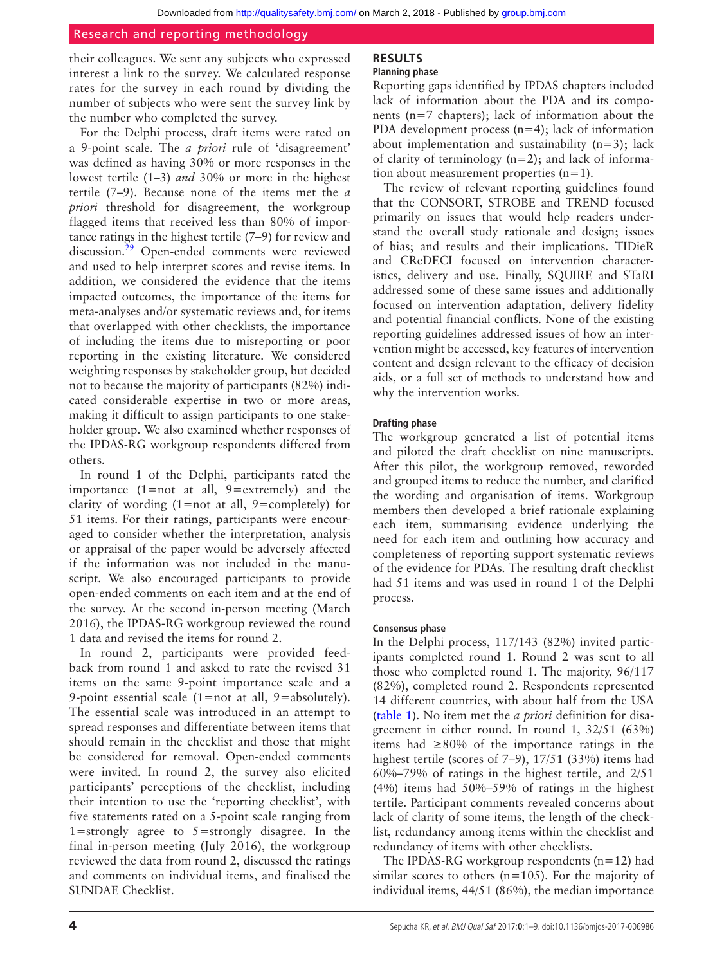their colleagues. We sent any subjects who expressed interest a link to the survey. We calculated response rates for the survey in each round by dividing the number of subjects who were sent the survey link by the number who completed the survey.

For the Delphi process, draft items were rated on a 9-point scale. The *a priori* rule of 'disagreement' was defined as having 30% or more responses in the lowest tertile (1–3) *and* 30% or more in the highest tertile (7–9). Because none of the items met the *a priori* threshold for disagreement, the workgroup flagged items that received less than 80% of importance ratings in the highest tertile (7–9) for review and discussion.<sup>[29](#page-9-12)</sup> Open-ended comments were reviewed and used to help interpret scores and revise items. In addition, we considered the evidence that the items impacted outcomes, the importance of the items for meta-analyses and/or systematic reviews and, for items that overlapped with other checklists, the importance of including the items due to misreporting or poor reporting in the existing literature. We considered weighting responses by stakeholder group, but decided not to because the majority of participants (82%) indicated considerable expertise in two or more areas, making it difficult to assign participants to one stakeholder group. We also examined whether responses of the IPDAS-RG workgroup respondents differed from others.

In round 1 of the Delphi, participants rated the importance (1=not at all, 9=extremely) and the clarity of wording  $(1=not$  at all,  $9=completely)$  for 51 items. For their ratings, participants were encouraged to consider whether the interpretation, analysis or appraisal of the paper would be adversely affected if the information was not included in the manuscript. We also encouraged participants to provide open-ended comments on each item and at the end of the survey. At the second in-person meeting (March 2016), the IPDAS-RG workgroup reviewed the round 1 data and revised the items for round 2.

In round 2, participants were provided feedback from round 1 and asked to rate the revised 31 items on the same 9-point importance scale and a 9-point essential scale (1=not at all, 9=absolutely). The essential scale was introduced in an attempt to spread responses and differentiate between items that should remain in the checklist and those that might be considered for removal. Open-ended comments were invited. In round 2, the survey also elicited participants' perceptions of the checklist, including their intention to use the 'reporting checklist', with five statements rated on a 5-point scale ranging from 1=strongly agree to  $5$ =strongly disagree. In the final in-person meeting (July 2016), the workgroup reviewed the data from round 2, discussed the ratings and comments on individual items, and finalised the SUNDAE Checklist.

# **Results**

#### **Planning phase**

Reporting gaps identified by IPDAS chapters included lack of information about the PDA and its components (n=7 chapters); lack of information about the PDA development process (n=4); lack of information about implementation and sustainability (n=3); lack of clarity of terminology  $(n=2)$ ; and lack of information about measurement properties  $(n=1)$ .

The review of relevant reporting guidelines found that the CONSORT, STROBE and TREND focused primarily on issues that would help readers understand the overall study rationale and design; issues of bias; and results and their implications. TIDieR and CReDECI focused on intervention characteristics, delivery and use. Finally, SQUIRE and STaRI addressed some of these same issues and additionally focused on intervention adaptation, delivery fidelity and potential financial conflicts. None of the existing reporting guidelines addressed issues of how an intervention might be accessed, key features of intervention content and design relevant to the efficacy of decision aids, or a full set of methods to understand how and why the intervention works.

#### **Drafting phase**

The workgroup generated a list of potential items and piloted the draft checklist on nine manuscripts. After this pilot, the workgroup removed, reworded and grouped items to reduce the number, and clarified the wording and organisation of items. Workgroup members then developed a brief rationale explaining each item, summarising evidence underlying the need for each item and outlining how accuracy and completeness of reporting support systematic reviews of the evidence for PDAs. The resulting draft checklist had 51 items and was used in round 1 of the Delphi process.

#### **Consensus phase**

In the Delphi process, 117/143 (82%) invited participants completed round 1. Round 2 was sent to all those who completed round 1. The majority, 96/117 (82%), completed round 2. Respondents represented 14 different countries, with about half from the USA ([table](#page-5-0) 1). No item met the *a priori* definition for disagreement in either round. In round 1, 32/51 (63%) items had ≥80% of the importance ratings in the highest tertile (scores of 7–9), 17/51 (33%) items had 60%–79% of ratings in the highest tertile, and 2/51 (4%) items had 50%–59% of ratings in the highest tertile. Participant comments revealed concerns about lack of clarity of some items, the length of the checklist, redundancy among items within the checklist and redundancy of items with other checklists.

The IPDAS-RG workgroup respondents (n=12) had similar scores to others  $(n=105)$ . For the majority of individual items, 44/51 (86%), the median importance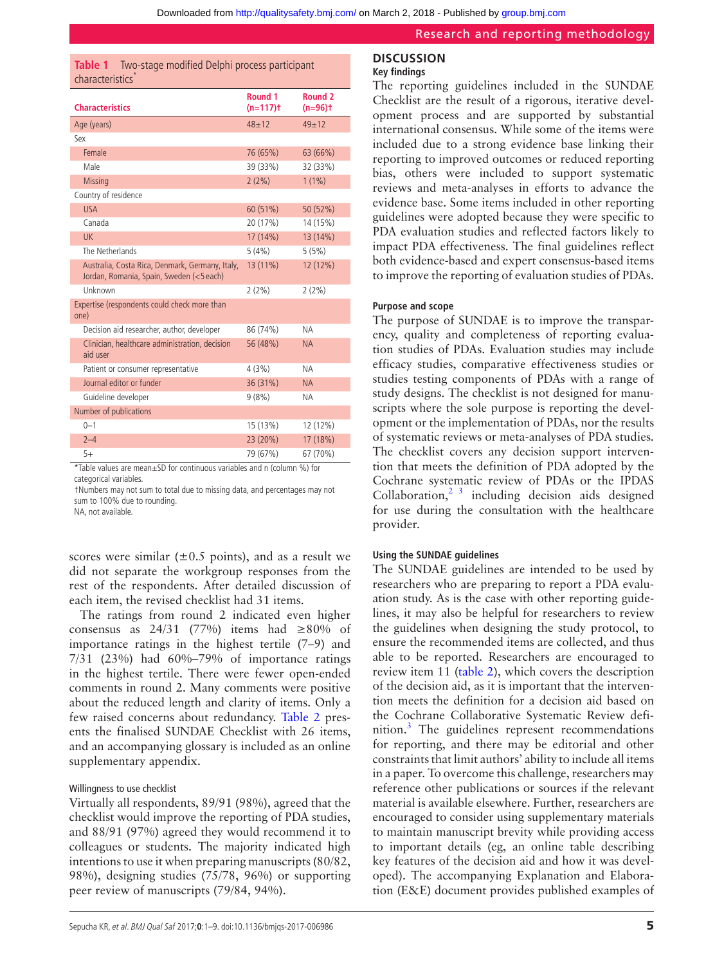<span id="page-5-0"></span>

|                              | Table 1 Two-stage modified Delphi process participant |  |
|------------------------------|-------------------------------------------------------|--|
| characteristics <sup>*</sup> |                                                       |  |

| <b>Characteristics</b>                                                                      | Round 1<br>$(n=117)$ <sup>+</sup> | <b>Round 2</b><br>$(n=96)$ t |
|---------------------------------------------------------------------------------------------|-----------------------------------|------------------------------|
| Age (years)                                                                                 | $48 + 12$                         | $49 + 12$                    |
| Sex                                                                                         |                                   |                              |
| Female                                                                                      | 76 (65%)                          | 63 (66%)                     |
| Male                                                                                        | 39 (33%)                          | 32 (33%)                     |
| <b>Missing</b>                                                                              | 2(2%)                             | $1(1\%)$                     |
| Country of residence                                                                        |                                   |                              |
| <b>USA</b>                                                                                  | 60 (51%)                          | 50 (52%)                     |
| Canada                                                                                      | 20 (17%)                          | 14 (15%)                     |
| <b>UK</b>                                                                                   | 17 (14%)                          | 13 (14%)                     |
| The Netherlands                                                                             | 5(4%)                             | 5(5%)                        |
| Australia, Costa Rica, Denmark, Germany, Italy,<br>Jordan, Romania, Spain, Sweden (<5 each) | 13 (11%)                          | 12 (12%)                     |
| Unknown                                                                                     | $2(2\%)$                          | $2(2\%)$                     |
| Expertise (respondents could check more than<br>one)                                        |                                   |                              |
| Decision aid researcher, author, developer                                                  | 86 (74%)                          | ΝA                           |
| Clinician, healthcare administration, decision<br>aid user                                  | 56 (48%)                          | <b>NA</b>                    |
| Patient or consumer representative                                                          | 4(3%)                             | ΝA                           |
| Journal editor or funder                                                                    | 36 (31%)                          | <b>NA</b>                    |
| Guideline developer                                                                         | 9(8% )                            | ΝA                           |
| Number of publications                                                                      |                                   |                              |
| $0 - 1$                                                                                     | 15 (13%)                          | 12 (12%)                     |
| $2 - 4$                                                                                     | 23 (20%)                          | 17 (18%)                     |
| $5+$                                                                                        | 79 (67%)                          | 67 (70%)                     |

\*Table values are mean±SD for continuous variables and n (column %) for categorical variables.

†Numbers may not sum to total due to missing data, and percentages may not sum to 100% due to rounding.

NA, not available.

scores were similar  $(\pm 0.5 \text{ points})$ , and as a result we did not separate the workgroup responses from the rest of the respondents. After detailed discussion of each item, the revised checklist had 31 items.

The ratings from round 2 indicated even higher consensus as  $24/31$  (77%) items had ≥80% of importance ratings in the highest tertile (7–9) and 7/31 (23%) had 60%–79% of importance ratings in the highest tertile. There were fewer open-ended comments in round 2. Many comments were positive about the reduced length and clarity of items. Only a few raised concerns about redundancy. [Table](#page-6-0) 2 presents the finalised SUNDAE Checklist with 26 items, and an accompanying glossary is included as an online [supplementary appendix](https://dx.doi.org/10.1136/bmjqs-2017-006986).

#### Willingness to use checklist

Virtually all respondents, 89/91 (98%), agreed that the checklist would improve the reporting of PDA studies, and 88/91 (97%) agreed they would recommend it to colleagues or students. The majority indicated high intentions to use it when preparing manuscripts (80/82, 98%), designing studies (75/78, 96%) or supporting peer review of manuscripts (79/84, 94%).

# **Discussion**

### **Key findings**

The reporting guidelines included in the SUNDAE Checklist are the result of a rigorous, iterative development process and are supported by substantial international consensus. While some of the items were included due to a strong evidence base linking their reporting to improved outcomes or reduced reporting bias, others were included to support systematic reviews and meta-analyses in efforts to advance the evidence base. Some items included in other reporting guidelines were adopted because they were specific to PDA evaluation studies and reflected factors likely to impact PDA effectiveness. The final guidelines reflect both evidence-based and expert consensus-based items to improve the reporting of evaluation studies of PDAs.

#### **Purpose and scope**

The purpose of SUNDAE is to improve the transparency, quality and completeness of reporting evaluation studies of PDAs. Evaluation studies may include efficacy studies, comparative effectiveness studies or studies testing components of PDAs with a range of study designs. The checklist is not designed for manuscripts where the sole purpose is reporting the development or the implementation of PDAs, nor the results of systematic reviews or meta-analyses of PDA studies. The checklist covers any decision support intervention that meets the definition of PDA adopted by the Cochrane systematic review of PDAs or the IPDAS Collaboration, $2^3$  including decision aids designed for use during the consultation with the healthcare provider.

#### **Using the SUNDAE guidelines**

The SUNDAE guidelines are intended to be used by researchers who are preparing to report a PDA evaluation study. As is the case with other reporting guidelines, it may also be helpful for researchers to review the guidelines when designing the study protocol, to ensure the recommended items are collected, and thus able to be reported. Researchers are encouraged to review item 11 [\(table](#page-6-0) 2), which covers the description of the decision aid, as it is important that the intervention meets the definition for a decision aid based on the Cochrane Collaborative Systematic Review defi-nition.<sup>[3](#page-8-1)</sup> The guidelines represent recommendations for reporting, and there may be editorial and other constraints that limit authors' ability to include all items in a paper. To overcome this challenge, researchers may reference other publications or sources if the relevant material is available elsewhere. Further, researchers are encouraged to consider using supplementary materials to maintain manuscript brevity while providing access to important details (eg, an online table describing key features of the decision aid and how it was developed). The accompanying Explanation and Elaboration (E&E) document provides published examples of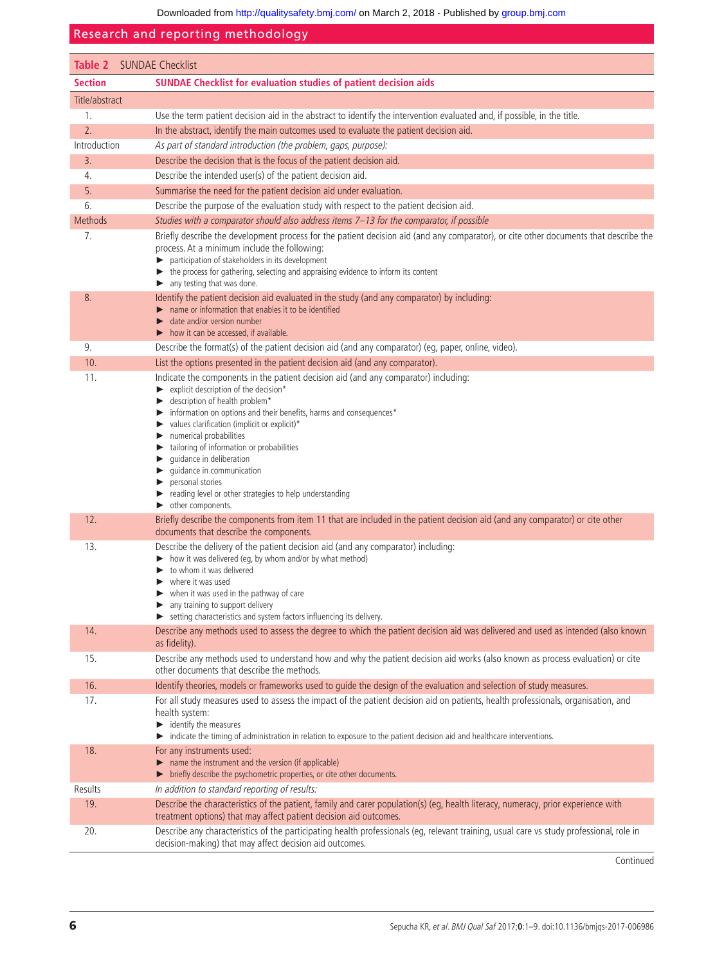<span id="page-6-0"></span>

|                | Research and reporting methodology                                                                                                                                                                                                                                                                                                                                                                                                                                                                                                             |
|----------------|------------------------------------------------------------------------------------------------------------------------------------------------------------------------------------------------------------------------------------------------------------------------------------------------------------------------------------------------------------------------------------------------------------------------------------------------------------------------------------------------------------------------------------------------|
| <b>Table 2</b> | <b>SUNDAE Checklist</b>                                                                                                                                                                                                                                                                                                                                                                                                                                                                                                                        |
| <b>Section</b> | SUNDAE Checklist for evaluation studies of patient decision aids                                                                                                                                                                                                                                                                                                                                                                                                                                                                               |
| Title/abstract |                                                                                                                                                                                                                                                                                                                                                                                                                                                                                                                                                |
| 1.             | Use the term patient decision aid in the abstract to identify the intervention evaluated and, if possible, in the title.                                                                                                                                                                                                                                                                                                                                                                                                                       |
| 2.             | In the abstract, identify the main outcomes used to evaluate the patient decision aid.                                                                                                                                                                                                                                                                                                                                                                                                                                                         |
| Introduction   | As part of standard introduction (the problem, gaps, purpose):                                                                                                                                                                                                                                                                                                                                                                                                                                                                                 |
| 3.             | Describe the decision that is the focus of the patient decision aid.                                                                                                                                                                                                                                                                                                                                                                                                                                                                           |
| 4.             | Describe the intended user(s) of the patient decision aid.                                                                                                                                                                                                                                                                                                                                                                                                                                                                                     |
| 5.             | Summarise the need for the patient decision aid under evaluation.                                                                                                                                                                                                                                                                                                                                                                                                                                                                              |
| 6.             | Describe the purpose of the evaluation study with respect to the patient decision aid.                                                                                                                                                                                                                                                                                                                                                                                                                                                         |
| Methods        | Studies with a comparator should also address items 7-13 for the comparator, if possible                                                                                                                                                                                                                                                                                                                                                                                                                                                       |
| 7.             | Briefly describe the development process for the patient decision aid (and any comparator), or cite other documents that describe the<br>process. At a minimum include the following:<br>participation of stakeholders in its development<br>the process for gathering, selecting and appraising evidence to inform its content<br>$\blacktriangleright$ any testing that was done.                                                                                                                                                            |
| 8.             | Identify the patient decision aid evaluated in the study (and any comparator) by including:<br>name or information that enables it to be identified<br>$\blacktriangleright$ date and/or version number<br>> how it can be accessed, if available.                                                                                                                                                                                                                                                                                             |
| 9.             | Describe the format(s) of the patient decision aid (and any comparator) (eg, paper, online, video).                                                                                                                                                                                                                                                                                                                                                                                                                                            |
| 10.            | List the options presented in the patient decision aid (and any comparator).                                                                                                                                                                                                                                                                                                                                                                                                                                                                   |
| 11.            | Indicate the components in the patient decision aid (and any comparator) including:<br>▶ explicit description of the decision*<br>► description of health problem*<br>information on options and their benefits, harms and consequences*<br>values clarification (implicit or explicit)*<br>▶<br>numerical probabilities<br>tailoring of information or probabilities<br>▶<br>quidance in deliberation<br>▶<br>guidance in communication<br>personal stories<br>reading level or other strategies to help understanding<br>• other components. |
| 12.            | Briefly describe the components from item 11 that are included in the patient decision aid (and any comparator) or cite other<br>documents that describe the components.                                                                                                                                                                                                                                                                                                                                                                       |
| 13.            | Describe the delivery of the patient decision aid (and any comparator) including:<br>> how it was delivered (eg, by whom and/or by what method)<br>to whom it was delivered<br>where it was used<br>$\triangleright$ when it was used in the pathway of care<br>$\blacktriangleright$ any training to support delivery<br>setting characteristics and system factors influencing its delivery.                                                                                                                                                 |
| 14.            | Describe any methods used to assess the degree to which the patient decision aid was delivered and used as intended (also known<br>as fidelity).                                                                                                                                                                                                                                                                                                                                                                                               |
| 15.            | Describe any methods used to understand how and why the patient decision aid works (also known as process evaluation) or cite<br>other documents that describe the methods.                                                                                                                                                                                                                                                                                                                                                                    |
| 16.            | Identify theories, models or frameworks used to guide the design of the evaluation and selection of study measures.                                                                                                                                                                                                                                                                                                                                                                                                                            |
| 17.            | For all study measures used to assess the impact of the patient decision aid on patients, health professionals, organisation, and<br>health system:<br>$\blacktriangleright$ identify the measures<br>indicate the timing of administration in relation to exposure to the patient decision aid and healthcare interventions.<br>▶                                                                                                                                                                                                             |
| 18.            | For any instruments used:<br>name the instrument and the version (if applicable)<br>briefly describe the psychometric properties, or cite other documents.<br>▶                                                                                                                                                                                                                                                                                                                                                                                |
| Results        | In addition to standard reporting of results:                                                                                                                                                                                                                                                                                                                                                                                                                                                                                                  |
| 19.            | Describe the characteristics of the patient, family and carer population(s) (eg, health literacy, numeracy, prior experience with<br>treatment options) that may affect patient decision aid outcomes.                                                                                                                                                                                                                                                                                                                                         |
| 20.            | Describe any characteristics of the participating health professionals (eg, relevant training, usual care vs study professional, role in<br>decision-making) that may affect decision aid outcomes.                                                                                                                                                                                                                                                                                                                                            |

Continued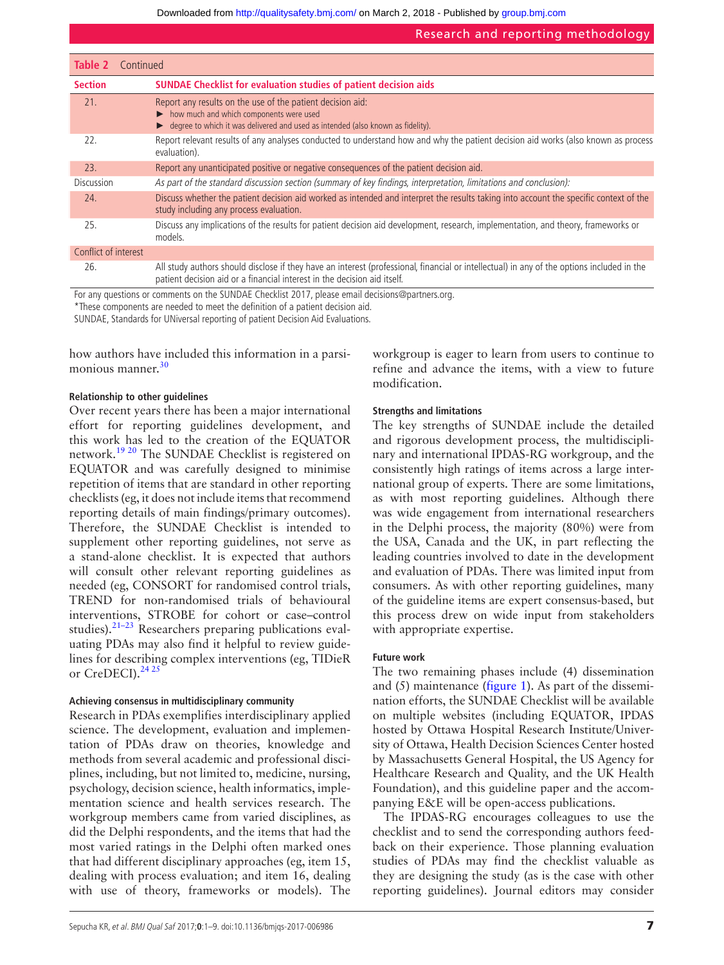| Table 2              | Continued                                                                                                                                                                                                                         |
|----------------------|-----------------------------------------------------------------------------------------------------------------------------------------------------------------------------------------------------------------------------------|
| <b>Section</b>       | <b>SUNDAE Checklist for evaluation studies of patient decision aids</b>                                                                                                                                                           |
| 21.                  | Report any results on the use of the patient decision aid:<br>I how much and which components were used<br>► degree to which it was delivered and used as intended (also known as fidelity).                                      |
| 22.                  | Report relevant results of any analyses conducted to understand how and why the patient decision aid works (also known as process<br>evaluation).                                                                                 |
| 23.                  | Report any unanticipated positive or negative consequences of the patient decision aid.                                                                                                                                           |
| Discussion           | As part of the standard discussion section (summary of key findings, interpretation, limitations and conclusion):                                                                                                                 |
| 24.                  | Discuss whether the patient decision aid worked as intended and interpret the results taking into account the specific context of the<br>study including any process evaluation.                                                  |
| 25.                  | Discuss any implications of the results for patient decision aid development, research, implementation, and theory, frameworks or<br>models.                                                                                      |
| Conflict of interest |                                                                                                                                                                                                                                   |
| 26.                  | All study authors should disclose if they have an interest (professional, financial or intellectual) in any of the options included in the<br>patient decision aid or a financial interest in the decision aid itself.            |
|                      | $\mathbf{r}$ . The contract of the contract of the contract of the contract of the contract of the contract of the contract of the contract of the contract of the contract of the contract of the contract of the contract of th |

For any questions or comments on the SUNDAE Checklist 2017, please email [decisions@partners.org](mailto:decisions@partners.org).

\*These components are needed to meet the definition of a patient decision aid.

SUNDAE, Standards for UNiversal reporting of patient Decision Aid Evaluations.

how authors have included this information in a parsimonious manner. $30$ 

#### **Relationship to other guidelines**

Over recent years there has been a major international effort for reporting guidelines development, and this work has led to the creation of the EQUATOR network.<sup>[19 20](#page-9-2)</sup> The SUNDAE Checklist is registered on EQUATOR and was carefully designed to minimise repetition of items that are standard in other reporting checklists (eg, it does not include items that recommend reporting details of main findings/primary outcomes). Therefore, the SUNDAE Checklist is intended to supplement other reporting guidelines, not serve as a stand-alone checklist. It is expected that authors will consult other relevant reporting guidelines as needed (eg, CONSORT for randomised control trials, TREND for non-randomised trials of behavioural interventions, STROBE for cohort or case–control studies). $21-23$  Researchers preparing publications evaluating PDAs may also find it helpful to review guidelines for describing complex interventions (eg, TIDieR or CreDECI).<sup>[24 25](#page-9-6)</sup>

#### **Achieving consensus in multidisciplinary community**

Research in PDAs exemplifies interdisciplinary applied science. The development, evaluation and implementation of PDAs draw on theories, knowledge and methods from several academic and professional disciplines, including, but not limited to, medicine, nursing, psychology, decision science, health informatics, implementation science and health services research. The workgroup members came from varied disciplines, as did the Delphi respondents, and the items that had the most varied ratings in the Delphi often marked ones that had different disciplinary approaches (eg, item 15, dealing with process evaluation; and item 16, dealing with use of theory, frameworks or models). The

workgroup is eager to learn from users to continue to refine and advance the items, with a view to future modification.

#### **Strengths and limitations**

The key strengths of SUNDAE include the detailed and rigorous development process, the multidisciplinary and international IPDAS-RG workgroup, and the consistently high ratings of items across a large international group of experts. There are some limitations, as with most reporting guidelines. Although there was wide engagement from international researchers in the Delphi process, the majority (80%) were from the USA, Canada and the UK, in part reflecting the leading countries involved to date in the development and evaluation of PDAs. There was limited input from consumers. As with other reporting guidelines, many of the guideline items are expert consensus-based, but this process drew on wide input from stakeholders with appropriate expertise.

#### **Future work**

The two remaining phases include (4) dissemination and (5) maintenance [\(figure](#page-2-0) 1). As part of the dissemination efforts, the SUNDAE Checklist will be available on multiple websites (including EQUATOR, IPDAS hosted by Ottawa Hospital Research Institute/University of Ottawa, Health Decision Sciences Center hosted by Massachusetts General Hospital, the US Agency for Healthcare Research and Quality, and the UK Health Foundation), and this guideline paper and the accompanying E&E will be open-access publications.

The IPDAS-RG encourages colleagues to use the checklist and to send the corresponding authors feedback on their experience. Those planning evaluation studies of PDAs may find the checklist valuable as they are designing the study (as is the case with other reporting guidelines). Journal editors may consider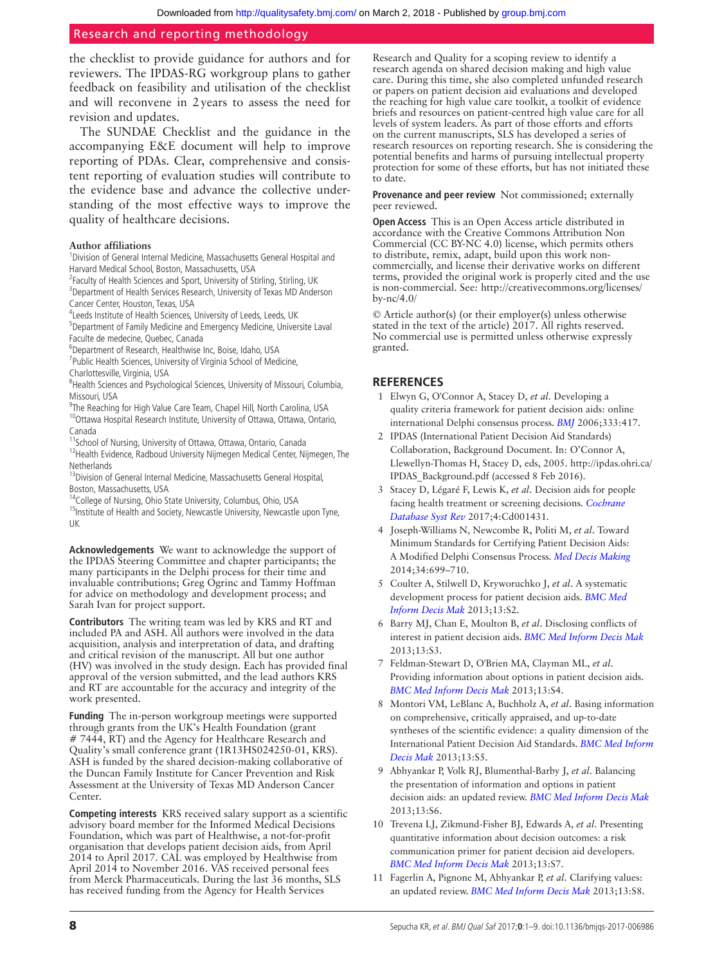the checklist to provide guidance for authors and for reviewers. The IPDAS-RG workgroup plans to gather feedback on feasibility and utilisation of the checklist and will reconvene in 2years to assess the need for revision and updates.

The SUNDAE Checklist and the guidance in the accompanying E&E document will help to improve reporting of PDAs. Clear, comprehensive and consistent reporting of evaluation studies will contribute to the evidence base and advance the collective understanding of the most effective ways to improve the quality of healthcare decisions.

#### **Author affiliations**

<sup>1</sup> Division of General Internal Medicine, Massachusetts General Hospital and Harvard Medical School, Boston, Massachusetts, USA

<sup>2</sup> Faculty of Health Sciences and Sport, University of Stirling, Stirling, UK <sup>3</sup>Department of Health Services Research, University of Texas MD Anderson Cancer Center, Houston, Texas, USA

<sup>4</sup> Leeds Institute of Health Sciences, University of Leeds, Leeds, UK

5 Department of Family Medicine and Emergency Medicine, Universite Laval Faculte de medecine, Quebec, Canada

6 Department of Research, Healthwise Inc, Boise, Idaho, USA

<sup>7</sup>Public Health Sciences, University of Virginia School of Medicine, Charlottesville, Virginia, USA

<sup>8</sup> Health Sciences and Psychological Sciences, University of Missouri, Columbia, Missouri, USA

<sup>9</sup>The Reaching for High Value Care Team, Chapel Hill, North Carolina, USA <sup>10</sup>Ottawa Hospital Research Institute, University of Ottawa, Ottawa, Ontario, Canada

<sup>11</sup>School of Nursing, University of Ottawa, Ottawa, Ontario, Canada

<sup>12</sup>Health Evidence, Radboud University Nijmegen Medical Center, Nijmegen, The Netherlands

<sup>13</sup>Division of General Internal Medicine, Massachusetts General Hospital, Boston, Massachusetts, USA

<sup>14</sup>College of Nursing, Ohio State University, Columbus, Ohio, USA

<sup>15</sup>Institute of Health and Society, Newcastle University, Newcastle upon Tyne, UK

**Acknowledgements** We want to acknowledge the support of the IPDAS Steering Committee and chapter participants; the many participants in the Delphi process for their time and invaluable contributions; Greg Ogrinc and Tammy Hoffman for advice on methodology and development process; and Sarah Ivan for project support.

**Contributors** The writing team was led by KRS and RT and included PA and ASH. All authors were involved in the data acquisition, analysis and interpretation of data, and drafting and critical revision of the manuscript. All but one author (HV) was involved in the study design. Each has provided final approval of the version submitted, and the lead authors KRS and RT are accountable for the accuracy and integrity of the work presented.

**Funding** The in-person workgroup meetings were supported through grants from the UK's Health Foundation (grant # 7444, RT) and the Agency for Healthcare Research and Quality's small conference grant (1R13HS024250-01, KRS). ASH is funded by the shared decision-making collaborative of the Duncan Family Institute for Cancer Prevention and Risk Assessment at the University of Texas MD Anderson Cancer Center.

**Competing interests** KRS received salary support as a scientific advisory board member for the Informed Medical Decisions Foundation, which was part of Healthwise, a not-for-profit organisation that develops patient decision aids, from April 2014 to April 2017. CAL was employed by Healthwise from April 2014 to November 2016. VAS received personal fees from Merck Pharmaceuticals. During the last 36 months, SLS has received funding from the Agency for Health Services

Research and Quality for a scoping review to identify a research agenda on shared decision making and high value care. During this time, she also completed unfunded research or papers on patient decision aid evaluations and developed the reaching for high value care toolkit, a toolkit of evidence briefs and resources on patient-centred high value care for all levels of system leaders. As part of those efforts and efforts on the current manuscripts, SLS has developed a series of research resources on reporting research. She is considering the potential benefits and harms of pursuing intellectual property protection for some of these efforts, but has not initiated these to date.

#### **Provenance and peer review** Not commissioned; externally peer reviewed.

**Open Access** This is an Open Access article distributed in accordance with the Creative Commons Attribution Non Commercial (CC BY-NC 4.0) license, which permits others to distribute, remix, adapt, build upon this work noncommercially, and license their derivative works on different terms, provided the original work is properly cited and the use is non-commercial. See: [http://creativecommons.org/licenses/](http://creativecommons.org/licenses/by-nc/4.0/) [by-nc/4.0/](http://creativecommons.org/licenses/by-nc/4.0/)

© Article author(s) (or their employer(s) unless otherwise stated in the text of the article) 2017. All rights reserved. No commercial use is permitted unless otherwise expressly granted.

#### **References**

- <span id="page-8-0"></span>1 Elwyn G, O'Connor A, Stacey D, *et al*. Developing a quality criteria framework for patient decision aids: online international Delphi consensus process. *[BMJ](http://dx.doi.org/10.1136/bmj.38926.629329.AE)* 2006;333:417.
- <span id="page-8-4"></span>2 IPDAS (International Patient Decision Aid Standards) Collaboration, Background Document. In: O'Connor A, Llewellyn-Thomas H, Stacey D, eds, 2005. [http://ipdas.ohri.ca/](http://ipdas.ohri.ca/IPDAS_Background.pdf) [IPDAS\\_Background.pdf](http://ipdas.ohri.ca/IPDAS_Background.pdf) (accessed 8 Feb 2016).
- <span id="page-8-1"></span>3 Stacey D, Légaré F, Lewis K, *et al*. Decision aids for people facing health treatment or screening decisions. *[Cochrane](http://dx.doi.org/10.1002/14651858.CD001431.pub5)  [Database Syst Rev](http://dx.doi.org/10.1002/14651858.CD001431.pub5)* 2017;4:Cd001431.
- 4 Joseph-Williams N, Newcombe R, Politi M, *et al*. Toward Minimum Standards for Certifying Patient Decision Aids: A Modified Delphi Consensus Process. *[Med Decis Making](http://dx.doi.org/10.1177/0272989X13501721)* 2014;34:699–710.
- <span id="page-8-2"></span>5 Coulter A, Stilwell D, Kryworuchko J, *et al*. A systematic development process for patient decision aids. *[BMC Med](http://dx.doi.org/10.1186/1472-6947-13-S2-S2)  [Inform Decis Mak](http://dx.doi.org/10.1186/1472-6947-13-S2-S2)* 2013;13:S2.
- 6 Barry MJ, Chan E, Moulton B, *et al*. Disclosing conflicts of interest in patient decision aids. *[BMC Med Inform Decis Mak](http://dx.doi.org/10.1186/1472-6947-13-S2-S3)* 2013;13:S3.
- 7 Feldman-Stewart D, O'Brien MA, Clayman ML, *et al*. Providing information about options in patient decision aids. *[BMC Med Inform Decis Mak](http://dx.doi.org/10.1186/1472-6947-13-S2-S4)* 2013;13:S4.
- 8 Montori VM, LeBlanc A, Buchholz A, *et al*. Basing information on comprehensive, critically appraised, and up-to-date syntheses of the scientific evidence: a quality dimension of the International Patient Decision Aid Standards. *[BMC Med Inform](http://dx.doi.org/10.1186/1472-6947-13-S2-S5)  [Decis Mak](http://dx.doi.org/10.1186/1472-6947-13-S2-S5)* 2013;13:S5.
- <span id="page-8-3"></span>9 Abhyankar P, Volk RJ, Blumenthal-Barby J, *et al*. Balancing the presentation of information and options in patient decision aids: an updated review. *[BMC Med Inform Decis Mak](http://dx.doi.org/10.1186/1472-6947-13-S2-S6)* 2013;13:S6.
- 10 Trevena LJ, Zikmund-Fisher BJ, Edwards A, *et al*. Presenting quantitative information about decision outcomes: a risk communication primer for patient decision aid developers. *[BMC Med Inform Decis Mak](http://dx.doi.org/10.1186/1472-6947-13-S2-S7)* 2013;13:S7.
- 11 Fagerlin A, Pignone M, Abhyankar P, *et al*. Clarifying values: an updated review. *[BMC Med Inform Decis Mak](http://dx.doi.org/10.1186/1472-6947-13-S2-S8)* 2013;13:S8.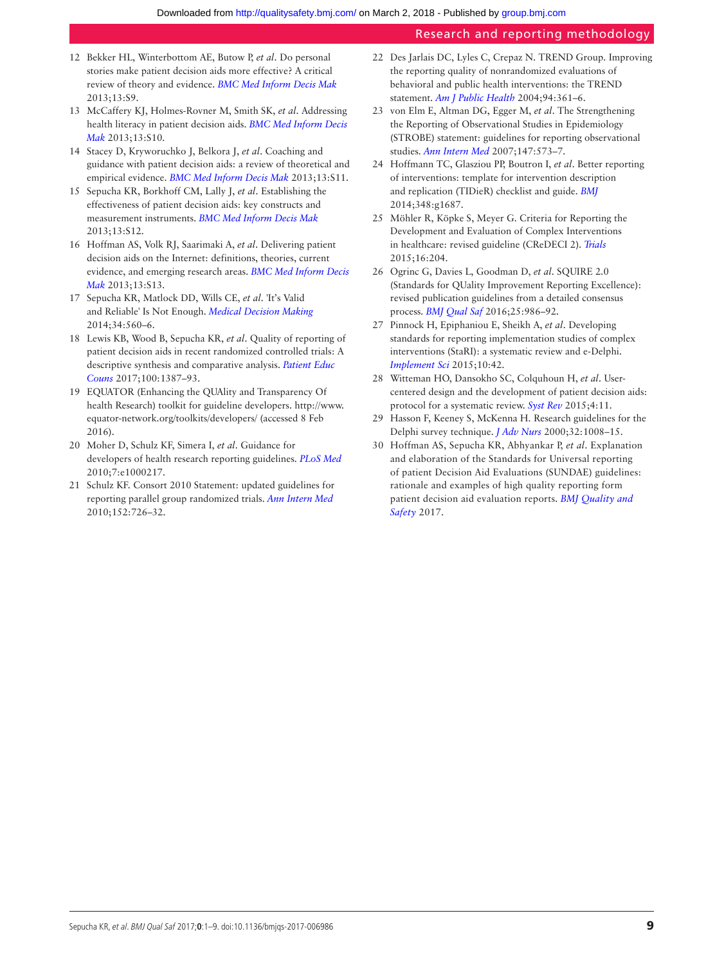- 12 Bekker HL, Winterbottom AE, Butow P, *et al*. Do personal stories make patient decision aids more effective? A critical review of theory and evidence. *[BMC Med Inform Decis Mak](http://dx.doi.org/10.1186/1472-6947-13-S2-S9)* 2013;13:S9.
- 13 McCaffery KJ, Holmes-Rovner M, Smith SK, *et al*. Addressing health literacy in patient decision aids. *[BMC Med Inform Decis](http://dx.doi.org/10.1186/1472-6947-13-S2-S10)  [Mak](http://dx.doi.org/10.1186/1472-6947-13-S2-S10)* 2013;13:S10.
- 14 Stacey D, Kryworuchko J, Belkora J, *et al*. Coaching and guidance with patient decision aids: a review of theoretical and empirical evidence. *[BMC Med Inform Decis Mak](http://dx.doi.org/10.1186/1472-6947-13-S2-S11)* 2013;13:S11.
- <span id="page-9-11"></span>15 Sepucha KR, Borkhoff CM, Lally J, *et al*. Establishing the effectiveness of patient decision aids: key constructs and measurement instruments. *[BMC Med Inform Decis Mak](http://dx.doi.org/10.1186/1472-6947-13-S2-S12)* 2013;13:S12.
- 16 Hoffman AS, Volk RJ, Saarimaki A, *et al*. Delivering patient decision aids on the Internet: definitions, theories, current evidence, and emerging research areas. *[BMC Med Inform Decis](http://dx.doi.org/10.1186/1472-6947-13-S2-S13)  [Mak](http://dx.doi.org/10.1186/1472-6947-13-S2-S13)* 2013;13:S13.
- <span id="page-9-1"></span>17 Sepucha KR, Matlock DD, Wills CE, *et al*. 'It's Valid and Reliable' Is Not Enough. *[Medical Decision Making](http://dx.doi.org/10.1177/0272989X14528381)* 2014;34:560–6.
- <span id="page-9-0"></span>18 Lewis KB, Wood B, Sepucha KR, *et al*. Quality of reporting of patient decision aids in recent randomized controlled trials: A descriptive synthesis and comparative analysis. *[Patient Educ](http://dx.doi.org/10.1016/j.pec.2017.02.021)  [Couns](http://dx.doi.org/10.1016/j.pec.2017.02.021)* 2017;100:1387–93.
- <span id="page-9-2"></span>19 EQUATOR (Enhancing the QUAlity and Transparency Of health Research) toolkit for guideline developers. [http://www.](http://www.equator-network.org/toolkits/developers/) [equator-network.org/toolkits/developers/](http://www.equator-network.org/toolkits/developers/) (accessed 8 Feb 2016).
- 20 Moher D, Schulz KF, Simera I, *et al*. Guidance for developers of health research reporting guidelines. *[PLoS Med](http://dx.doi.org/10.1371/journal.pmed.1000217)* 2010;7:e1000217.
- <span id="page-9-3"></span>21 Schulz KF. Consort 2010 Statement: updated guidelines for reporting parallel group randomized trials. *[Ann Intern Med](http://dx.doi.org/10.7326/0003-4819-152-11-201006010-00232)* 2010;152:726–32.
- <span id="page-9-4"></span>22 Des Jarlais DC, Lyles C, Crepaz N. TREND Group. Improving the reporting quality of nonrandomized evaluations of behavioral and public health interventions: the TREND statement. *[Am J Public Health](http://dx.doi.org/10.2105/AJPH.94.3.361)* 2004;94:361–6.
- <span id="page-9-5"></span>23 von Elm E, Altman DG, Egger M, *et al*. The Strengthening the Reporting of Observational Studies in Epidemiology (STROBE) statement: guidelines for reporting observational studies. *[Ann Intern Med](http://dx.doi.org/10.7326/0003-4819-147-8-200710160-00010)* 2007;147:573–7.
- <span id="page-9-6"></span>24 Hoffmann TC, Glasziou PP, Boutron I, *et al*. Better reporting of interventions: template for intervention description and replication (TIDieR) checklist and guide. *[BMJ](http://dx.doi.org/10.1136/bmj.g1687)* 2014;348:g1687.
- <span id="page-9-7"></span>25 Möhler R, Köpke S, Meyer G. Criteria for Reporting the Development and Evaluation of Complex Interventions in healthcare: revised guideline (CReDECI 2). *[Trials](http://dx.doi.org/10.1186/s13063-015-0709-y)* 2015;16:204.
- <span id="page-9-8"></span>26 Ogrinc G, Davies L, Goodman D, *et al*. SQUIRE 2.0 (Standards for QUality Improvement Reporting Excellence): revised publication guidelines from a detailed consensus process. *[BMJ Qual Saf](http://dx.doi.org/10.1136/bmjqs-2015-004411)* 2016;25:986–92.
- <span id="page-9-9"></span>27 Pinnock H, Epiphaniou E, Sheikh A, *et al*. Developing standards for reporting implementation studies of complex interventions (StaRI): a systematic review and e-Delphi. *[Implement Sci](http://dx.doi.org/10.1186/s13012-015-0235-z)* 2015;10:42.
- <span id="page-9-10"></span>28 Witteman HO, Dansokho SC, Colquhoun H, *et al*. Usercentered design and the development of patient decision aids: protocol for a systematic review. *[Syst Rev](http://dx.doi.org/10.1186/2046-4053-4-11)* 2015;4:11.
- <span id="page-9-12"></span>29 Hasson F, Keeney S, McKenna H. Research guidelines for the Delphi survey technique. *J Adv Nurs* 2000;32:1008–15.
- <span id="page-9-13"></span>30 Hoffman AS, Sepucha KR, Abhyankar P, *et al*. Explanation and elaboration of the Standards for Universal reporting of patient Decision Aid Evaluations (SUNDAE) guidelines: rationale and examples of high quality reporting form patient decision aid evaluation reports. *BMJ Quality and Safety* 2017.